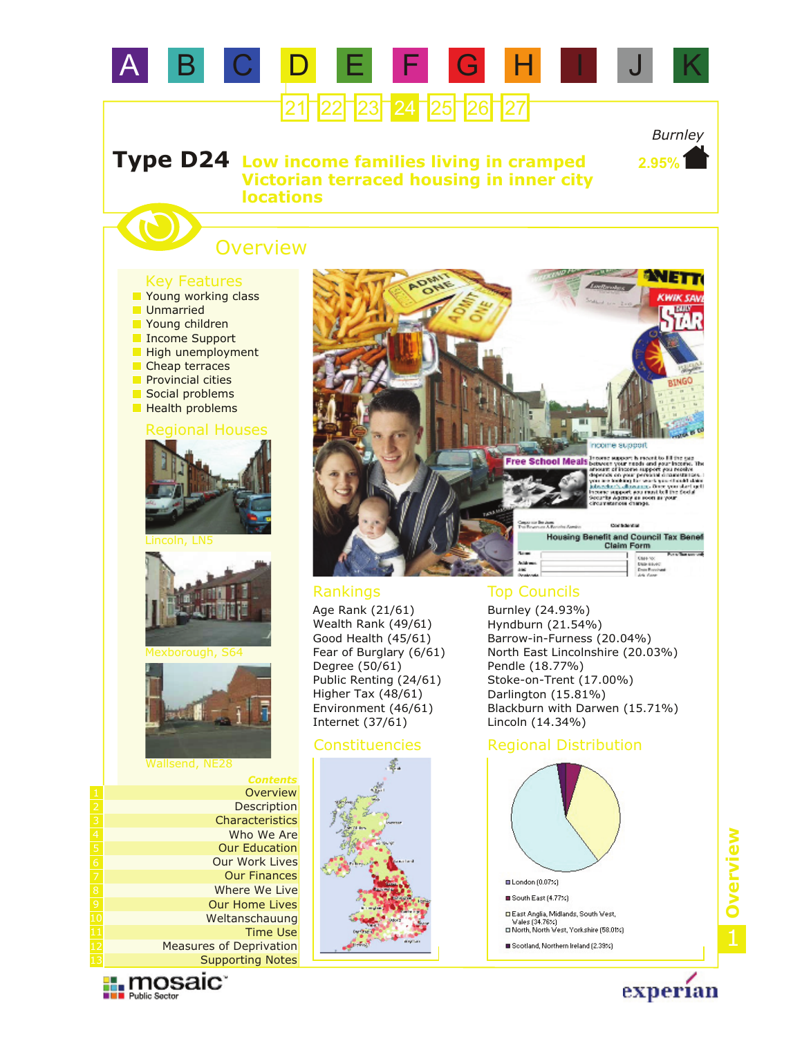# A B C D E F G H I



## *Burnley*

**2.95%**

**Type D24** Low income families living in cramped **Victorian terraced housing in inner city locations**

# **Overview**

### Key Features

- **Noung children** Income Support High unemployment **Unmarried P** Young working class
- Cheap terraces
- **Provincial cities**
- Social problems
- **Health problems**

### Regional Houses











#### Wallsend, NE28

| Contents                       |
|--------------------------------|
| Overview                       |
| Description                    |
| Characteristics                |
| Who We Are                     |
| <b>Our Education</b>           |
| <b>Our Work Lives</b>          |
| <b>Our Finances</b>            |
| Where We Live                  |
| <b>Our Home Lives</b>          |
| Weltanschauung                 |
| <b>Time Use</b>                |
| <b>Measures of Deprivation</b> |
| <b>Supporting Notes</b>        |





Age Rank (21/61) Wealth Rank (49/61) Good Health (45/61) Fear of Burglary (6/61) Degree (50/61) Public Renting (24/61) Higher Tax (48/61) Environment (46/61) Internet (37/61)



### Rankings Top Councils

Burnley (24.93%) Hyndburn (21.54%) Barrow-in-Furness (20.04%) North East Lincolnshire (20.03%) Pendle (18.77%) Stoke-on-Trent (17.00%) Darlington (15.81%) Blackburn with Darwen (15.71%) Lincoln (14.34%)

### Constituencies Regional Distribution



1**Overview**

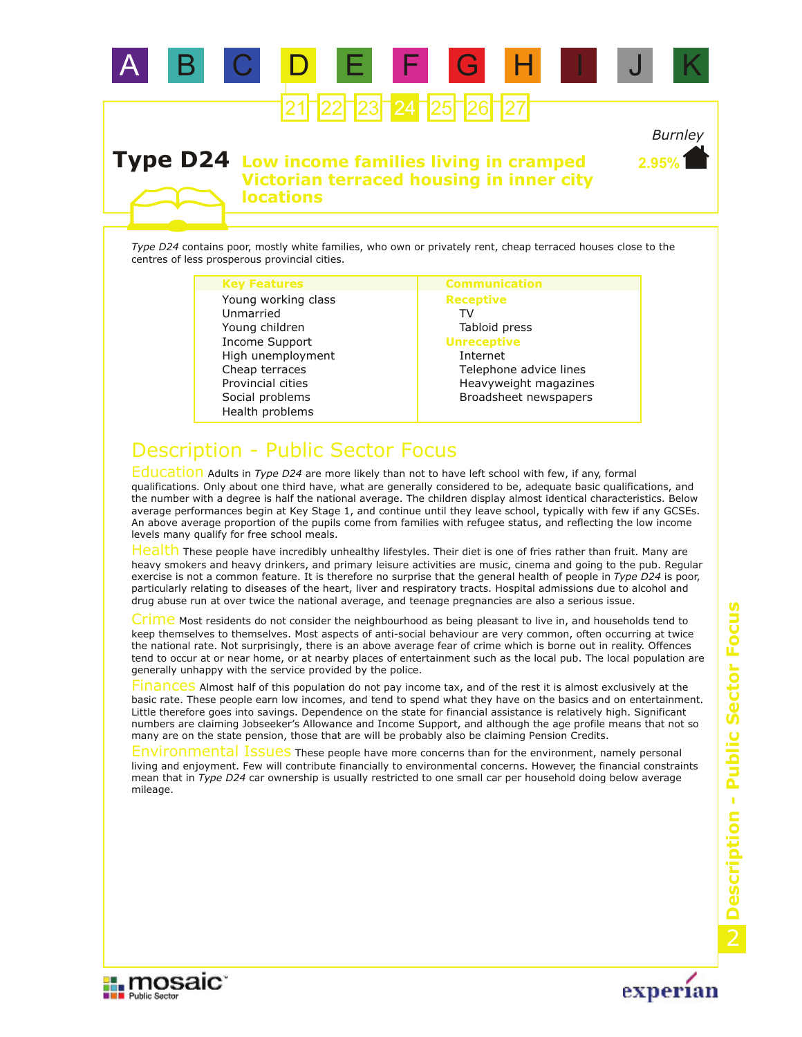

# $23$   $24$   $25$

*Burnley* **2.95%**

### **Type D24** Low income families living in cramped **Victorian terraced housing in inner city locations**

*Type D24* contains poor, mostly white families, who own or privately rent, cheap terraced houses close to the centres of less prosperous provincial cities.

#### **Key Features Communication**

Social problems Provincial cities Young children Income Support High unemployment Health problems Cheap terraces Unmarried Young working class

#### **Receptive** TV Tabloid press **Unreceptive** Internet Telephone advice lines Heavyweight magazines Broadsheet newspapers

# Description - Public Sector Focus

Education Adults in *Type D24* are more likely than not to have left school with few, if any, formal qualifications. Only about one third have, what are generally considered to be, adequate basic qualifications, and the number with a degree is half the national average. The children display almost identical characteristics. Below average performances begin at Key Stage 1, and continue until they leave school, typically with few if any GCSEs. An above average proportion of the pupils come from families with refugee status, and reflecting the low income levels many qualify for free school meals.

Health These people have incredibly unhealthy lifestyles. Their diet is one of fries rather than fruit. Many are heavy smokers and heavy drinkers, and primary leisure activities are music, cinema and going to the pub. Regular exercise is not a common feature. It is therefore no surprise that the general health of people in *Type D24* is poor, particularly relating to diseases of the heart, liver and respiratory tracts. Hospital admissions due to alcohol and drug abuse run at over twice the national average, and teenage pregnancies are also a serious issue.

Crime Most residents do not consider the neighbourhood as being pleasant to live in, and households tend to keep themselves to themselves. Most aspects of anti-social behaviour are very common, often occurring at twice the national rate. Not surprisingly, there is an above average fear of crime which is borne out in reality. Offences tend to occur at or near home, or at nearby places of entertainment such as the local pub. The local population are generally unhappy with the service provided by the police.

Finances Almost half of this population do not pay income tax, and of the rest it is almost exclusively at the basic rate. These people earn low incomes, and tend to spend what they have on the basics and on entertainment. Little therefore goes into savings. Dependence on the state for financial assistance is relatively high. Significant numbers are claiming Jobseeker's Allowance and Income Support, and although the age profile means that not so many are on the state pension, those that are will be probably also be claiming Pension Credits.

Environmental Issues These people have more concerns than for the environment, namely personal living and enjoyment. Few will contribute financially to environmental concerns. However, the financial constraints mean that in *Type D24* car ownership is usually restricted to one small car per household doing below average mileage.



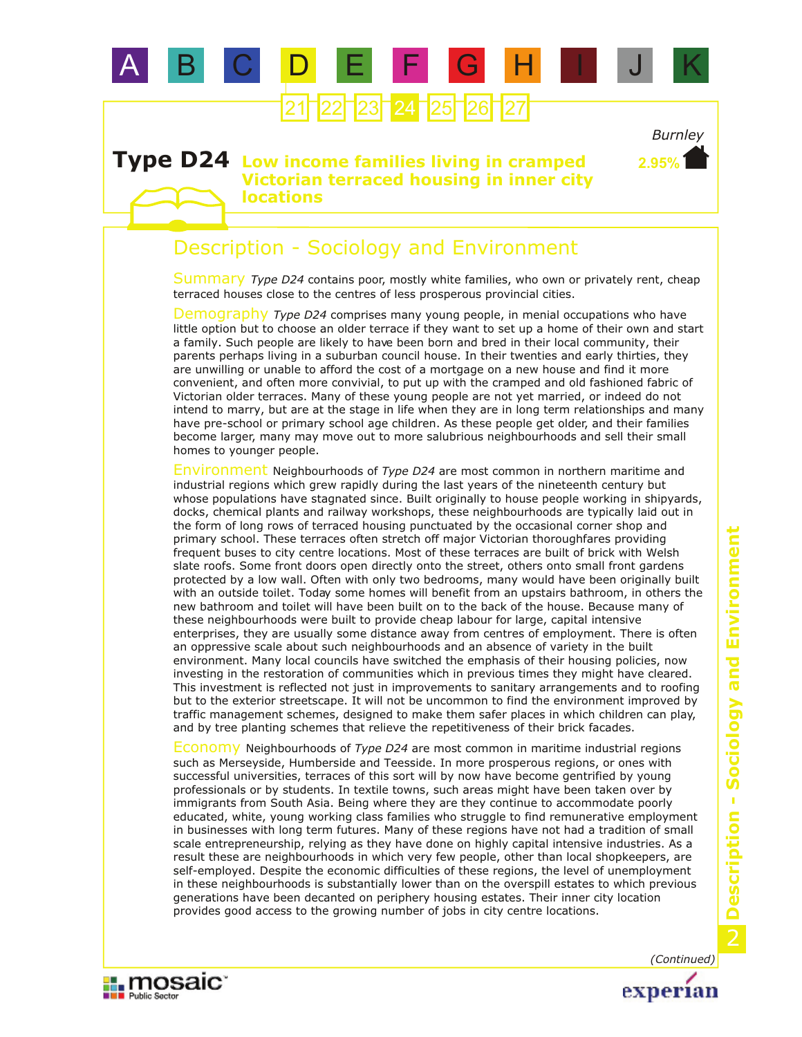

# 23 24 25 26

### **Type D24** Low income families living in cramped **Victorian terraced housing in inner city locations**

## Description - Sociology and Environment

Summary Type D24 contains poor, mostly white families, who own or privately rent, cheap terraced houses close to the centres of less prosperous provincial cities.

Demography *Type D24* comprises many young people, in menial occupations who have little option but to choose an older terrace if they want to set up a home of their own and start a family. Such people are likely to have been born and bred in their local community, their parents perhaps living in a suburban council house. In their twenties and early thirties, they are unwilling or unable to afford the cost of a mortgage on a new house and find it more convenient, and often more convivial, to put up with the cramped and old fashioned fabric of Victorian older terraces. Many of these young people are not yet married, or indeed do not intend to marry, but are at the stage in life when they are in long term relationships and many have pre-school or primary school age children. As these people get older, and their families become larger, many may move out to more salubrious neighbourhoods and sell their small homes to younger people.

Environment Neighbourhoods of Type D24 are most common in northern maritime and industrial regions which grew rapidly during the last years of the nineteenth century but whose populations have stagnated since. Built originally to house people working in shipyards, docks, chemical plants and railway workshops, these neighbourhoods are typically laid out in the form of long rows of terraced housing punctuated by the occasional corner shop and primary school. These terraces often stretch off major Victorian thoroughfares providing frequent buses to city centre locations. Most of these terraces are built of brick with Welsh slate roofs. Some front doors open directly onto the street, others onto small front gardens protected by a low wall. Often with only two bedrooms, many would have been originally built with an outside toilet. Today some homes will benefit from an upstairs bathroom, in others the new bathroom and toilet will have been built on to the back of the house. Because many of these neighbourhoods were built to provide cheap labour for large, capital intensive enterprises, they are usually some distance away from centres of employment. There is often an oppressive scale about such neighbourhoods and an absence of variety in the built environment. Many local councils have switched the emphasis of their housing policies, now investing in the restoration of communities which in previous times they might have cleared. This investment is reflected not just in improvements to sanitary arrangements and to roofing but to the exterior streetscape. It will not be uncommon to find the environment improved by traffic management schemes, designed to make them safer places in which children can play, and by tree planting schemes that relieve the repetitiveness of their brick facades.

Economy Neighbourhoods of *Type D24* are most common in maritime industrial regions such as Merseyside, Humberside and Teesside. In more prosperous regions, or ones with successful universities, terraces of this sort will by now have become gentrified by young professionals or by students. In textile towns, such areas might have been taken over by immigrants from South Asia. Being where they are they continue to accommodate poorly educated, white, young working class families who struggle to find remunerative employment in businesses with long term futures. Many of these regions have not had a tradition of small scale entrepreneurship, relying as they have done on highly capital intensive industries. As a result these are neighbourhoods in which very few people, other than local shopkeepers, are self-employed. Despite the economic difficulties of these regions, the level of unemployment in these neighbourhoods is substantially lower than on the overspill estates to which previous generations have been decanted on periphery housing estates. Their inner city location provides good access to the growing number of jobs in city centre locations.



experian

*Burnley*

**2.95%**

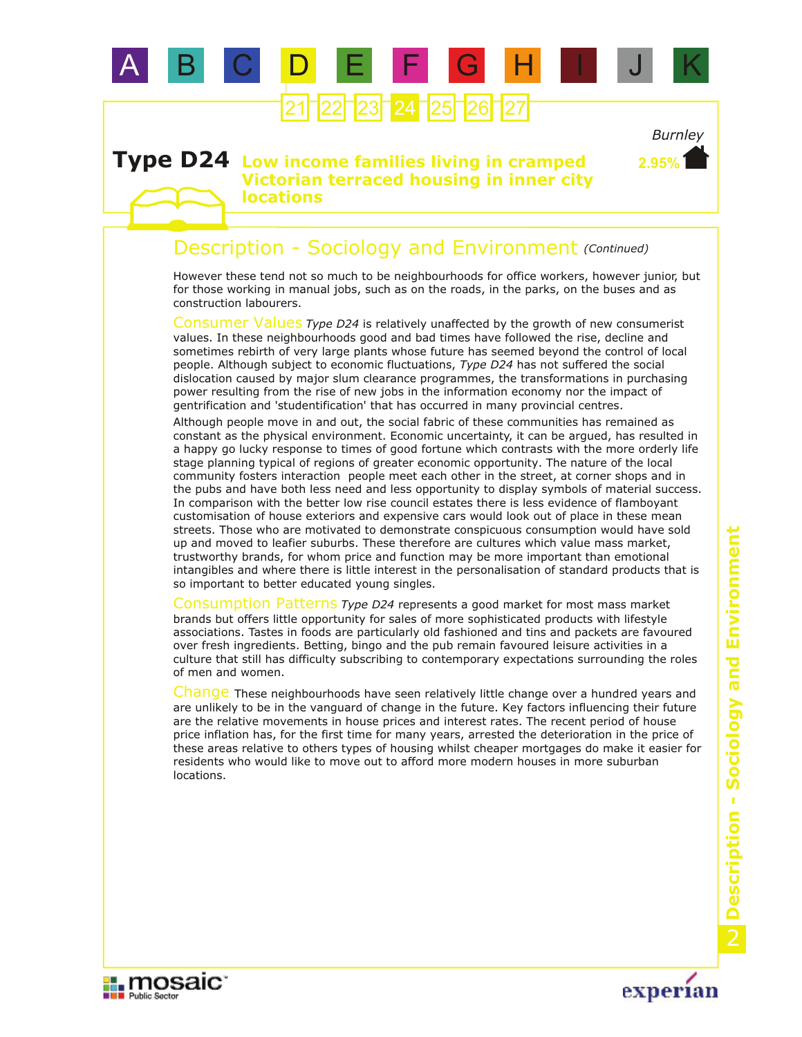

# **23 24 25 26**

### **Type D24** Low income families living in cramped **Victorian terraced housing in inner city locations**

### Description - Sociology and Environment *(Continued)*

However these tend not so much to be neighbourhoods for office workers, however junior, but for those working in manual jobs, such as on the roads, in the parks, on the buses and as construction labourers.

Consumer Values Type D24 is relatively unaffected by the growth of new consumerist values. In these neighbourhoods good and bad times have followed the rise, decline and sometimes rebirth of very large plants whose future has seemed beyond the control of local people. Although subject to economic fluctuations, *Type D24* has not suffered the social dislocation caused by major slum clearance programmes, the transformations in purchasing power resulting from the rise of new jobs in the information economy nor the impact of gentrification and 'studentification' that has occurred in many provincial centres.

Although people move in and out, the social fabric of these communities has remained as constant as the physical environment. Economic uncertainty, it can be argued, has resulted in a happy go lucky response to times of good fortune which contrasts with the more orderly life stage planning typical of regions of greater economic opportunity. The nature of the local community fosters interaction people meet each other in the street, at corner shops and in the pubs and have both less need and less opportunity to display symbols of material success. In comparison with the better low rise council estates there is less evidence of flamboyant customisation of house exteriors and expensive cars would look out of place in these mean streets. Those who are motivated to demonstrate conspicuous consumption would have sold up and moved to leafier suburbs. These therefore are cultures which value mass market, trustworthy brands, for whom price and function may be more important than emotional intangibles and where there is little interest in the personalisation of standard products that is so important to better educated young singles.

Consumption Patterns Type D24 represents a good market for most mass market brands but offers little opportunity for sales of more sophisticated products with lifestyle associations. Tastes in foods are particularly old fashioned and tins and packets are favoured over fresh ingredients. Betting, bingo and the pub remain favoured leisure activities in a culture that still has difficulty subscribing to contemporary expectations surrounding the roles of men and women.

Change These neighbourhoods have seen relatively little change over a hundred years and are unlikely to be in the vanguard of change in the future. Key factors influencing their future are the relative movements in house prices and interest rates. The recent period of house price inflation has, for the first time for many years, arrested the deterioration in the price of these areas relative to others types of housing whilst cheaper mortgages do make it easier for residents who would like to move out to afford more modern houses in more suburban locations.





*Burnley*

**2.95%**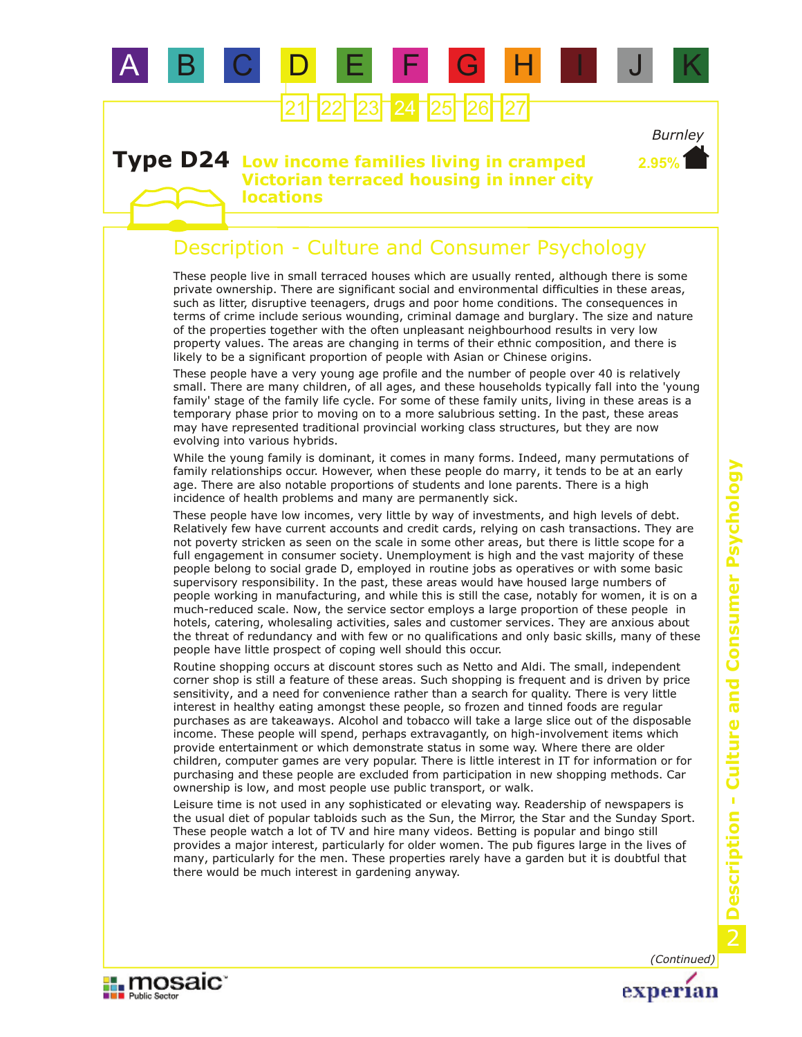

# 23 24 25 26

### *Burnley* **2.95%**

### **Type D24** Low income families living in cramped **Victorian terraced housing in inner city locations**

### Description - Culture and Consumer Psychology

These people live in small terraced houses which are usually rented, although there is some private ownership. There are significant social and environmental difficulties in these areas, such as litter, disruptive teenagers, drugs and poor home conditions. The consequences in terms of crime include serious wounding, criminal damage and burglary. The size and nature of the properties together with the often unpleasant neighbourhood results in very low property values. The areas are changing in terms of their ethnic composition, and there is likely to be a significant proportion of people with Asian or Chinese origins.

These people have a very young age profile and the number of people over 40 is relatively small. There are many children, of all ages, and these households typically fall into the 'young family' stage of the family life cycle. For some of these family units, living in these areas is a temporary phase prior to moving on to a more salubrious setting. In the past, these areas may have represented traditional provincial working class structures, but they are now evolving into various hybrids.

While the young family is dominant, it comes in many forms. Indeed, many permutations of family relationships occur. However, when these people do marry, it tends to be at an early age. There are also notable proportions of students and lone parents. There is a high incidence of health problems and many are permanently sick.

These people have low incomes, very little by way of investments, and high levels of debt. Relatively few have current accounts and credit cards, relying on cash transactions. They are not poverty stricken as seen on the scale in some other areas, but there is little scope for a full engagement in consumer society. Unemployment is high and the vast majority of these people belong to social grade D, employed in routine jobs as operatives or with some basic supervisory responsibility. In the past, these areas would have housed large numbers of people working in manufacturing, and while this is still the case, notably for women, it is on a much-reduced scale. Now, the service sector employs a large proportion of these people in hotels, catering, wholesaling activities, sales and customer services. They are anxious about the threat of redundancy and with few or no qualifications and only basic skills, many of these people have little prospect of coping well should this occur.

Routine shopping occurs at discount stores such as Netto and Aldi. The small, independent corner shop is still a feature of these areas. Such shopping is frequent and is driven by price sensitivity, and a need for convenience rather than a search for quality. There is very little interest in healthy eating amongst these people, so frozen and tinned foods are regular purchases as are takeaways. Alcohol and tobacco will take a large slice out of the disposable income. These people will spend, perhaps extravagantly, on high-involvement items which provide entertainment or which demonstrate status in some way. Where there are older children, computer games are very popular. There is little interest in IT for information or for purchasing and these people are excluded from participation in new shopping methods. Car ownership is low, and most people use public transport, or walk.

Leisure time is not used in any sophisticated or elevating way. Readership of newspapers is the usual diet of popular tabloids such as the Sun, the Mirror, the Star and the Sunday Sport. These people watch a lot of TV and hire many videos. Betting is popular and bingo still provides a major interest, particularly for older women. The pub figures large in the lives of many, particularly for the men. These properties rarely have a garden but it is doubtful that there would be much interest in gardening anyway.



*(Continued)*